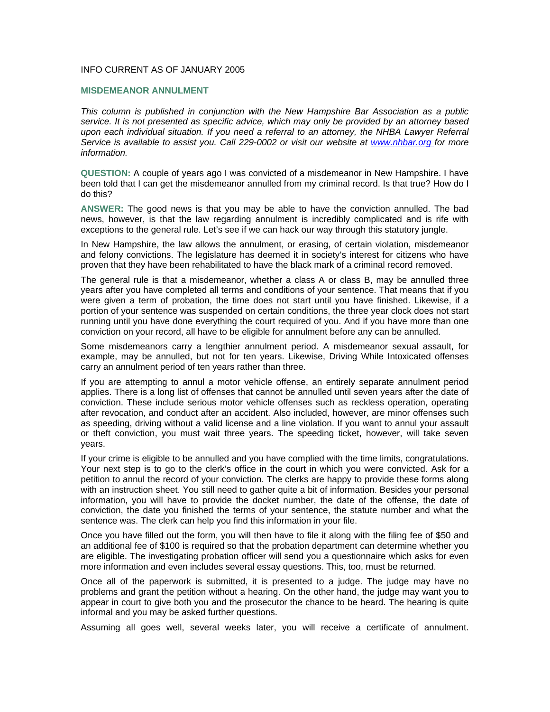## INFO CURRENT AS OF JANUARY 2005

## **MISDEMEANOR ANNULMENT**

*This column is published in conjunction with the New Hampshire Bar Association as a public service. It is not presented as specific advice, which may only be provided by an attorney based*  upon each individual situation. If you need a referral to an attorney, the NHBA Lawyer Referral *Service is available to assist you. Call 229-0002 or visit our website at www.nhbar.org for more information.* 

**QUESTION:** A couple of years ago I was convicted of a misdemeanor in New Hampshire. I have been told that I can get the misdemeanor annulled from my criminal record. Is that true? How do I do this?

**ANSWER:** The good news is that you may be able to have the conviction annulled. The bad news, however, is that the law regarding annulment is incredibly complicated and is rife with exceptions to the general rule. Let's see if we can hack our way through this statutory jungle.

In New Hampshire, the law allows the annulment, or erasing, of certain violation, misdemeanor and felony convictions. The legislature has deemed it in society's interest for citizens who have proven that they have been rehabilitated to have the black mark of a criminal record removed.

The general rule is that a misdemeanor, whether a class A or class B, may be annulled three years after you have completed all terms and conditions of your sentence. That means that if you were given a term of probation, the time does not start until you have finished. Likewise, if a portion of your sentence was suspended on certain conditions, the three year clock does not start running until you have done everything the court required of you. And if you have more than one conviction on your record, all have to be eligible for annulment before any can be annulled.

Some misdemeanors carry a lengthier annulment period. A misdemeanor sexual assault, for example, may be annulled, but not for ten years. Likewise, Driving While Intoxicated offenses carry an annulment period of ten years rather than three.

If you are attempting to annul a motor vehicle offense, an entirely separate annulment period applies. There is a long list of offenses that cannot be annulled until seven years after the date of conviction. These include serious motor vehicle offenses such as reckless operation, operating after revocation, and conduct after an accident. Also included, however, are minor offenses such as speeding, driving without a valid license and a line violation. If you want to annul your assault or theft conviction, you must wait three years. The speeding ticket, however, will take seven years.

If your crime is eligible to be annulled and you have complied with the time limits, congratulations. Your next step is to go to the clerk's office in the court in which you were convicted. Ask for a petition to annul the record of your conviction. The clerks are happy to provide these forms along with an instruction sheet. You still need to gather quite a bit of information. Besides your personal information, you will have to provide the docket number, the date of the offense, the date of conviction, the date you finished the terms of your sentence, the statute number and what the sentence was. The clerk can help you find this information in your file.

Once you have filled out the form, you will then have to file it along with the filing fee of \$50 and an additional fee of \$100 is required so that the probation department can determine whether you are eligible. The investigating probation officer will send you a questionnaire which asks for even more information and even includes several essay questions. This, too, must be returned.

Once all of the paperwork is submitted, it is presented to a judge. The judge may have no problems and grant the petition without a hearing. On the other hand, the judge may want you to appear in court to give both you and the prosecutor the chance to be heard. The hearing is quite informal and you may be asked further questions.

Assuming all goes well, several weeks later, you will receive a certificate of annulment.